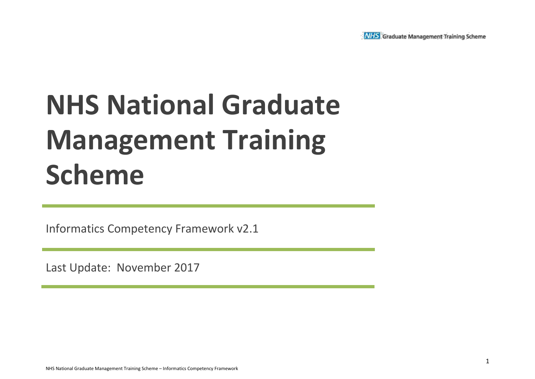

# **NHS National Graduate Management Training Scheme**

Informatics Competency Framework v2.1

Last Update: November 2017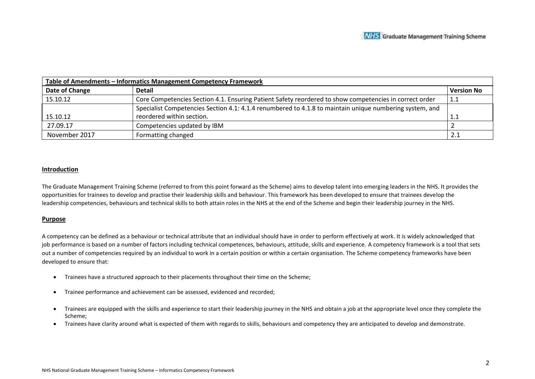| Table of Amendments - Informatics Management Competency Framework |                                                                                                         |                   |  |  |  |  |  |
|-------------------------------------------------------------------|---------------------------------------------------------------------------------------------------------|-------------------|--|--|--|--|--|
| Date of Change                                                    | <b>Detail</b>                                                                                           | <b>Version No</b> |  |  |  |  |  |
| 15.10.12                                                          | Core Competencies Section 4.1. Ensuring Patient Safety reordered to show competencies in correct order  | 1.1               |  |  |  |  |  |
|                                                                   | Specialist Competencies Section 4.1: 4.1.4 renumbered to 4.1.8 to maintain unique numbering system, and |                   |  |  |  |  |  |
| 15.10.12                                                          | reordered within section.                                                                               | 1.1               |  |  |  |  |  |
| 27.09.17                                                          | Competencies updated by IBM                                                                             |                   |  |  |  |  |  |
| November 2017                                                     | Formatting changed                                                                                      | 2.1               |  |  |  |  |  |

#### **Introduction**

The Graduate Management Training Scheme (referred to from this point forward as the Scheme) aims to develop talent into emerging leaders in the NHS. It provides the opportunities for trainees to develop and practise their leadership skills and behaviour. This framework has been developed to ensure that trainees develop the leadership competencies, behaviours and technical skills to both attain roles in the NHS at the end of the Scheme and begin their leadership journey in the NHS.

#### **Purpose**

A competency can be defined as a behaviour or technical attribute that an individual should have in order to perform effectively at work. It is widely acknowledged that job performance is based on a number of factors including technical competences, behaviours, attitude, skills and experience. A competency framework is a tool that sets out a number of competencies required by an individual to work in a certain position or within a certain organisation. The Scheme competency frameworks have been developed to ensure that:

- Trainees have a structured approach to their placements throughout their time on the Scheme;
- Trainee performance and achievement can be assessed, evidenced and recorded;
- Trainees are equipped with the skills and experience to start their leadership journey in the NHS and obtain a job at the appropriate level once they complete the Scheme;
- Trainees have clarity around what is expected of them with regards to skills, behaviours and competency they are anticipated to develop and demonstrate.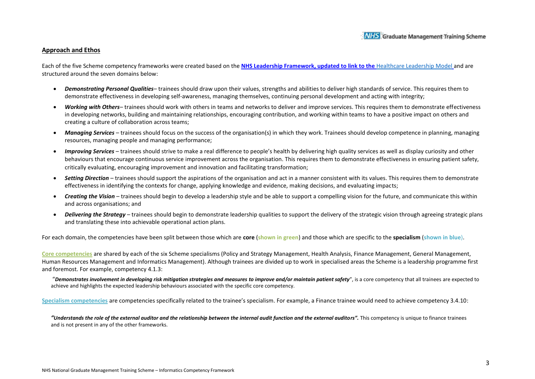#### **Approach and Ethos**

Each of the five Scheme competency frameworks were created based on the **NHS Leadership Framework, updated to link to the** [Healthcare Leadership Model](https://www.leadershipacademy.nhs.uk/resources/healthcare-leadership-model/) and are structured around the seven domains below:

- *Demonstrating Personal Qualities* trainees should draw upon their values, strengths and abilities to deliver high standards of service. This requires them to demonstrate effectiveness in developing self-awareness, managing themselves, continuing personal development and acting with integrity;
- *Working with Others* trainees should work with others in teams and networks to deliver and improve services. This requires them to demonstrate effectiveness in developing networks, building and maintaining relationships, encouraging contribution, and working within teams to have a positive impact on others and creating a culture of collaboration across teams;
- *Managing Services*  trainees should focus on the success of the organisation(s) in which they work. Trainees should develop competence in planning, managing resources, managing people and managing performance;
- *Improving Services*  trainees should strive to make a real difference to people's health by delivering high quality services as well as display curiosity and other behaviours that encourage continuous service improvement across the organisation. This requires them to demonstrate effectiveness in ensuring patient safety, critically evaluating, encouraging improvement and innovation and facilitating transformation;
- *Setting Direction*  trainees should support the aspirations of the organisation and act in a manner consistent with its values. This requires them to demonstrate effectiveness in identifying the contexts for change, applying knowledge and evidence, making decisions, and evaluating impacts;
- *Creating the Vision*  trainees should begin to develop a leadership style and be able to support a compelling vision for the future, and communicate this within and across organisations; and
- *Delivering the Strategy*  trainees should begin to demonstrate leadership qualities to support the delivery of the strategic vision through agreeing strategic plans and translating these into achievable operational action plans.

For each domain, the competencies have been split between those which are **core** (**shown in green**) and those which are specific to the **specialism** (**shown in blue**).

**Core competencies** are shared by each of the six Scheme specialisms (Policy and Strategy Management, Health Analysis, Finance Management, General Management, Human Resources Management and Informatics Management). Although trainees are divided up to work in specialised areas the Scheme is a leadership programme first and foremost. For example, competency 4.1.3:

"*Demonstrates involvement in developing risk mitigation strategies and measures to improve and/or maintain patient safety*", is a core competency that all trainees are expected to achieve and highlights the expected leadership behaviours associated with the specific core competency.

**Specialism competencies** are competencies specifically related to the trainee's specialism. For example, a Finance trainee would need to achieve competency 3.4.10:

"Understands the role of the external auditor and the relationship between the internal audit function and the external auditors". This competency is unique to finance trainees and is not present in any of the other frameworks.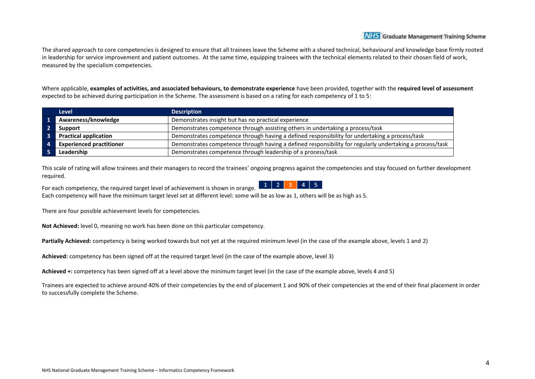The shared approach to core competencies is designed to ensure that all trainees leave the Scheme with a shared technical, behavioural and knowledge base firmly rooted in leadership for service improvement and patient outcomes. At the same time, equipping trainees with the technical elements related to their chosen field of work, measured by the specialism competencies.

Where applicable, **examples of activities, and associated behaviours, to demonstrate experience** have been provided, together with the **required level of assessment** expected to be achieved during participation in the Scheme. The assessment is based on a rating for each competency of 1 to 5:

|              | <b>Level</b>                    | <b>Description</b>                                                                                       |
|--------------|---------------------------------|----------------------------------------------------------------------------------------------------------|
|              | Awareness/knowledge             | Demonstrates insight but has no practical experience                                                     |
|              | Support                         | Demonstrates competence through assisting others in undertaking a process/task                           |
|              | <b>Practical application</b>    | Demonstrates competence through having a defined responsibility for undertaking a process/task           |
| $\mathbf{A}$ | <b>Experienced practitioner</b> | Demonstrates competence through having a defined responsibility for regularly undertaking a process/task |
|              | Leadership                      | Demonstrates competence through leadership of a process/task                                             |

This scale of rating will allow trainees and their managers to record the trainees' ongoing progress against the competencies and stay focused on further development required.

 $1$  | 2 | 3 | 4 | 5 For each competency, the required target level of achievement is shown in orange. Each competency will have the minimum target level set at different level: some will be as low as 1, others will be as high as 5.

There are four possible achievement levels for competencies.

**Not Achieved:** level 0, meaning no work has been done on this particular competency.

**Partially Achieved:** competency is being worked towards but not yet at the required minimum level (in the case of the example above, levels 1 and 2)

**Achieved:** competency has been signed off at the required target level (in the case of the example above, level 3)

**Achieved +:** competency has been signed off at a level above the minimum target level (in the case of the example above, levels 4 and 5)

Trainees are expected to achieve around 40% of their competencies by the end of placement 1 and 90% of their competencies at the end of their final placement in order to successfully complete the Scheme.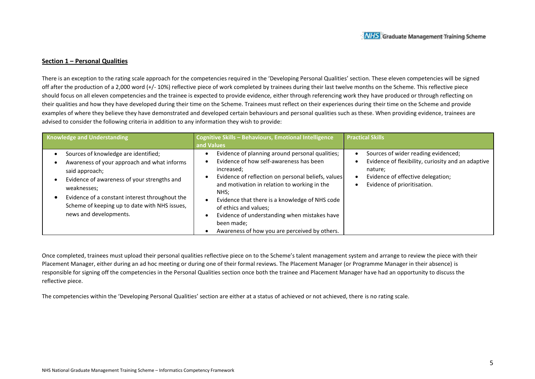#### **Section 1 – Personal Qualities**

There is an exception to the rating scale approach for the competencies required in the 'Developing Personal Qualities' section. These eleven competencies will be signed off after the production of a 2,000 word (+/- 10%) reflective piece of work completed by trainees during their last twelve months on the Scheme. This reflective piece should focus on all eleven competencies and the trainee is expected to provide evidence, either through referencing work they have produced or through reflecting on their qualities and how they have developed during their time on the Scheme. Trainees must reflect on their experiences during their time on the Scheme and provide examples of where they believe they have demonstrated and developed certain behaviours and personal qualities such as these. When providing evidence, trainees are advised to consider the following criteria in addition to any information they wish to provide:

| <b>Knowledge and Understanding</b>                                                                                                                                                                                                                                                               | Cognitive Skills - Behaviours, Emotional Intelligence<br>and Values                                                                                                                                                                                                                                                                                                                                              | <b>Practical Skills</b>                                                                                                                                                  |
|--------------------------------------------------------------------------------------------------------------------------------------------------------------------------------------------------------------------------------------------------------------------------------------------------|------------------------------------------------------------------------------------------------------------------------------------------------------------------------------------------------------------------------------------------------------------------------------------------------------------------------------------------------------------------------------------------------------------------|--------------------------------------------------------------------------------------------------------------------------------------------------------------------------|
| Sources of knowledge are identified;<br>Awareness of your approach and what informs<br>said approach;<br>Evidence of awareness of your strengths and<br>weaknesses:<br>Evidence of a constant interest throughout the<br>Scheme of keeping up to date with NHS issues,<br>news and developments. | Evidence of planning around personal qualities;<br>Evidence of how self-awareness has been<br>increased;<br>Evidence of reflection on personal beliefs, values<br>and motivation in relation to working in the<br>NHS:<br>Evidence that there is a knowledge of NHS code<br>of ethics and values;<br>Evidence of understanding when mistakes have<br>been made;<br>Awareness of how you are perceived by others. | Sources of wider reading evidenced;<br>Evidence of flexibility, curiosity and an adaptive<br>nature;<br>Evidence of effective delegation;<br>Evidence of prioritisation. |

Once completed, trainees must upload their personal qualities reflective piece on to the Scheme's talent management system and arrange to review the piece with their Placement Manager, either during an ad hoc meeting or during one of their formal reviews. The Placement Manager (or Programme Manager in their absence) is responsible for signing off the competencies in the Personal Qualities section once both the trainee and Placement Manager have had an opportunity to discuss the reflective piece.

The competencies within the 'Developing Personal Qualities' section are either at a status of achieved or not achieved, there is no rating scale.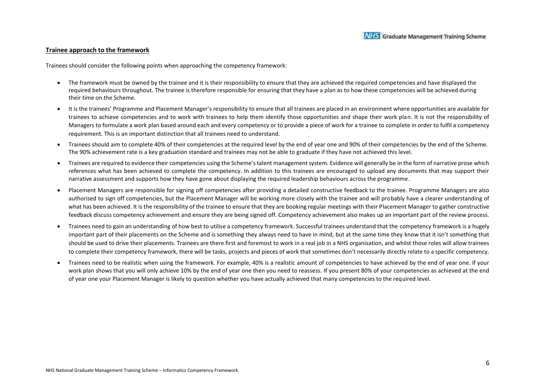#### **Trainee approach to the framework**

Trainees should consider the following points when approaching the competency framework:

- The framework must be owned by the trainee and it is their responsibility to ensure that they are achieved the required competencies and have displayed the required behaviours throughout. The trainee is therefore responsible for ensuring that they have a plan as to how these competencies will be achieved during their time on the Scheme.
- It is the trainees' Programme and Placement Manager's responsibility to ensure that all trainees are placed in an environment where opportunities are available for trainees to achieve competencies and to work with trainees to help them identify those opportunities and shape their work plan. It is not the responsibility of Managers to formulate a work plan based around each and every competency or to provide a piece of work for a trainee to complete in order to fulfil a competency requirement. This is an important distinction that all trainees need to understand.
- Trainees should aim to complete 40% of their competencies at the required level by the end of year one and 90% of their competencies by the end of the Scheme. The 90% achievement rate is a key graduation standard and trainees may not be able to graduate if they have not achieved this level.
- Trainees are required to evidence their competencies using the Scheme's talent management system. Evidence will generally be in the form of narrative prose which references what has been achieved to complete the competency. In addition to this trainees are encouraged to upload any documents that may support their narrative assessment and supports how they have gone about displaying the required leadership behaviours across the programme.
- Placement Managers are responsible for signing off competencies after providing a detailed constructive feedback to the trainee. Programme Managers are also authorised to sign off competencies, but the Placement Manager will be working more closely with the trainee and will probably have a clearer understanding of what has been achieved. It is the responsibility of the trainee to ensure that they are booking regular meetings with their Placement Manager to gather constructive feedback discuss competency achievement and ensure they are being signed off. Competency achievement also makes up an important part of the review process.
- Trainees need to gain an understanding of how best to utilise a competency framework. Successful trainees understand that the competency framework is a hugely important part of their placements on the Scheme and is something they always need to have in mind, but at the same time they know that it isn't something that should be used to drive their placements. Trainees are there first and foremost to work in a real job in a NHS organisation, and whilst those roles will allow trainees to complete their competency framework, there will be tasks, projects and pieces of work that sometimes don't necessarily directly relate to a specific competency.
- Trainees need to be realistic when using the framework. For example, 40% is a realistic amount of competencies to have achieved by the end of year one. If your work plan shows that you will only achieve 10% by the end of year one then you need to reassess. If you present 80% of your competencies as achieved at the end of year one your Placement Manager is likely to question whether you have actually achieved that many competencies to the required level.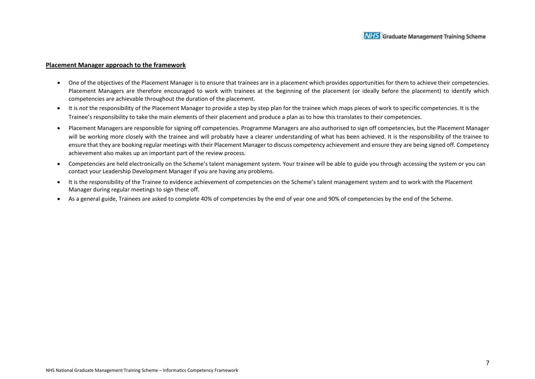#### **Placement Manager approach to the framework**

- One of the objectives of the Placement Manager is to ensure that trainees are in a placement which provides opportunities for them to achieve their competencies. Placement Managers are therefore encouraged to work with trainees at the beginning of the placement (or ideally before the placement) to identify which competencies are achievable throughout the duration of the placement.
- It is *not* the responsibility of the Placement Manager to provide a step by step plan for the trainee which maps pieces of work to specific competencies. It is the Trainee's responsibility to take the main elements of their placement and produce a plan as to how this translates to their competencies.
- Placement Managers are responsible for signing off competencies. Programme Managers are also authorised to sign off competencies, but the Placement Manager will be working more closely with the trainee and will probably have a clearer understanding of what has been achieved. It is the responsibility of the trainee to ensure that they are booking regular meetings with their Placement Manager to discuss competency achievement and ensure they are being signed off. Competency achievement also makes up an important part of the review process.
- Competencies are held electronically on the Scheme's talent management system. Your trainee will be able to guide you through accessing the system or you can contact your Leadership Development Manager if you are having any problems.
- It is the responsibility of the Trainee to evidence achievement of competencies on the Scheme's talent management system and to work with the Placement Manager during regular meetings to sign these off.
- As a general guide, Trainees are asked to complete 40% of competencies by the end of year one and 90% of competencies by the end of the Scheme.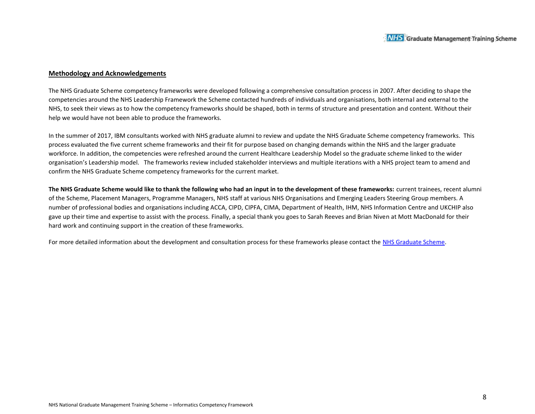#### **Methodology and Acknowledgements**

The NHS Graduate Scheme competency frameworks were developed following a comprehensive consultation process in 2007. After deciding to shape the competencies around the NHS Leadership Framework the Scheme contacted hundreds of individuals and organisations, both internal and external to the NHS, to seek their views as to how the competency frameworks should be shaped, both in terms of structure and presentation and content. Without their help we would have not been able to produce the frameworks.

In the summer of 2017, IBM consultants worked with NHS graduate alumni to review and update the NHS Graduate Scheme competency frameworks. This process evaluated the five current scheme frameworks and their fit for purpose based on changing demands within the NHS and the larger graduate workforce. In addition, the competencies were refreshed around the current Healthcare Leadership Model so the graduate scheme linked to the wider organisation's Leadership model. The frameworks review included stakeholder interviews and multiple iterations with a NHS project team to amend and confirm the NHS Graduate Scheme competency frameworks for the current market.

**The NHS Graduate Scheme would like to thank the following who had an input in to the development of these frameworks:** current trainees, recent alumni of the Scheme, Placement Managers, Programme Managers, NHS staff at various NHS Organisations and Emerging Leaders Steering Group members. A number of professional bodies and organisations including ACCA, CIPD, CIPFA, CIMA, Department of Health, IHM, NHS Information Centre and UKCHIP also gave up their time and expertise to assist with the process. Finally, a special thank you goes to Sarah Reeves and Brian Niven at Mott MacDonald for their hard work and continuing support in the creation of these frameworks.

For more detailed information about the development and consultation process for these frameworks please contact the NHS Graduate Scheme.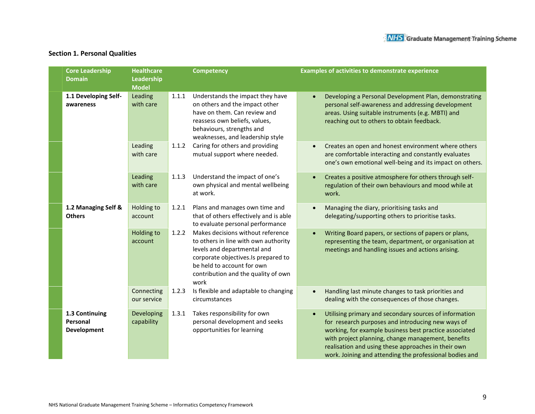## **Section 1. Personal Qualities**

| <b>Core Leadership</b><br><b>Domain</b>          | <b>Healthcare</b><br>Leadership<br><b>Model</b> |       | <b>Competency</b>                                                                                                                                                                                                            | <b>Examples of activities to demonstrate experience</b>                                                                                                                                                                                                                                                                                       |
|--------------------------------------------------|-------------------------------------------------|-------|------------------------------------------------------------------------------------------------------------------------------------------------------------------------------------------------------------------------------|-----------------------------------------------------------------------------------------------------------------------------------------------------------------------------------------------------------------------------------------------------------------------------------------------------------------------------------------------|
| 1.1 Developing Self-<br>awareness                | Leading<br>with care                            | 1.1.1 | Understands the impact they have<br>on others and the impact other<br>have on them. Can review and<br>reassess own beliefs, values,<br>behaviours, strengths and<br>weaknesses, and leadership style                         | Developing a Personal Development Plan, demonstrating<br>personal self-awareness and addressing development<br>areas. Using suitable instruments (e.g. MBTI) and<br>reaching out to others to obtain feedback.                                                                                                                                |
|                                                  | Leading<br>with care                            | 1.1.2 | Caring for others and providing<br>mutual support where needed.                                                                                                                                                              | Creates an open and honest environment where others<br>are comfortable interacting and constantly evaluates<br>one's own emotional well-being and its impact on others.                                                                                                                                                                       |
|                                                  | Leading<br>with care                            | 1.1.3 | Understand the impact of one's<br>own physical and mental wellbeing<br>at work.                                                                                                                                              | Creates a positive atmosphere for others through self-<br>regulation of their own behaviours and mood while at<br>work.                                                                                                                                                                                                                       |
| 1.2 Managing Self &<br><b>Others</b>             | Holding to<br>account                           | 1.2.1 | Plans and manages own time and<br>that of others effectively and is able<br>to evaluate personal performance                                                                                                                 | Managing the diary, prioritising tasks and<br>delegating/supporting others to prioritise tasks.                                                                                                                                                                                                                                               |
|                                                  | Holding to<br>account                           | 1.2.2 | Makes decisions without reference<br>to others in line with own authority<br>levels and departmental and<br>corporate objectives.Is prepared to<br>be held to account for own<br>contribution and the quality of own<br>work | Writing Board papers, or sections of papers or plans,<br>representing the team, department, or organisation at<br>meetings and handling issues and actions arising.                                                                                                                                                                           |
|                                                  | Connecting<br>our service                       | 1.2.3 | Is flexible and adaptable to changing<br>circumstances                                                                                                                                                                       | Handling last minute changes to task priorities and<br>dealing with the consequences of those changes.                                                                                                                                                                                                                                        |
| 1.3 Continuing<br>Personal<br><b>Development</b> | Developing<br>capability                        | 1.3.1 | Takes responsibility for own<br>personal development and seeks<br>opportunities for learning                                                                                                                                 | Utilising primary and secondary sources of information<br>for research purposes and introducing new ways of<br>working, for example business best practice associated<br>with project planning, change management, benefits<br>realisation and using these approaches in their own<br>work. Joining and attending the professional bodies and |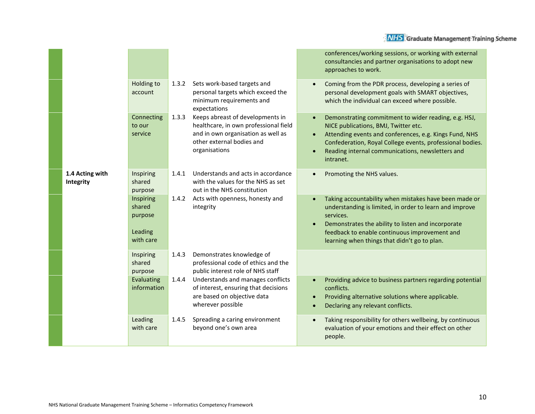|                              |                                                        |       |                                                                                                                                                               |                        | conferences/working sessions, or working with external<br>consultancies and partner organisations to adopt new<br>approaches to work.                                                                                                                                                |
|------------------------------|--------------------------------------------------------|-------|---------------------------------------------------------------------------------------------------------------------------------------------------------------|------------------------|--------------------------------------------------------------------------------------------------------------------------------------------------------------------------------------------------------------------------------------------------------------------------------------|
|                              | Holding to<br>account                                  | 1.3.2 | Sets work-based targets and<br>personal targets which exceed the<br>minimum requirements and<br>expectations                                                  |                        | Coming from the PDR process, developing a series of<br>personal development goals with SMART objectives,<br>which the individual can exceed where possible.                                                                                                                          |
|                              | Connecting<br>to our<br>service                        | 1.3.3 | Keeps abreast of developments in<br>healthcare, in own professional field<br>and in own organisation as well as<br>other external bodies and<br>organisations |                        | Demonstrating commitment to wider reading, e.g. HSJ,<br>NICE publications, BMJ, Twitter etc.<br>Attending events and conferences, e.g. Kings Fund, NHS<br>Confederation, Royal College events, professional bodies.<br>Reading internal communications, newsletters and<br>intranet. |
| 1.4 Acting with<br>Integrity | Inspiring<br>shared<br>purpose                         | 1.4.1 | Understands and acts in accordance<br>with the values for the NHS as set<br>out in the NHS constitution                                                       |                        | Promoting the NHS values.                                                                                                                                                                                                                                                            |
|                              | Inspiring<br>shared<br>purpose<br>Leading<br>with care | 1.4.2 | Acts with openness, honesty and<br>integrity                                                                                                                  |                        | Taking accountability when mistakes have been made or<br>understanding is limited, in order to learn and improve<br>services.<br>Demonstrates the ability to listen and incorporate<br>feedback to enable continuous improvement and<br>learning when things that didn't go to plan. |
|                              | Inspiring<br>shared<br>purpose                         | 1.4.3 | Demonstrates knowledge of<br>professional code of ethics and the<br>public interest role of NHS staff                                                         |                        |                                                                                                                                                                                                                                                                                      |
|                              | Evaluating<br>information                              | 1.4.4 | Understands and manages conflicts<br>of interest, ensuring that decisions<br>are based on objective data<br>wherever possible                                 | $\bullet$<br>$\bullet$ | Providing advice to business partners regarding potential<br>conflicts.<br>Providing alternative solutions where applicable.<br>Declaring any relevant conflicts.                                                                                                                    |
|                              | Leading<br>with care                                   | 1.4.5 | Spreading a caring environment<br>beyond one's own area                                                                                                       |                        | Taking responsibility for others wellbeing, by continuous<br>evaluation of your emotions and their effect on other<br>people.                                                                                                                                                        |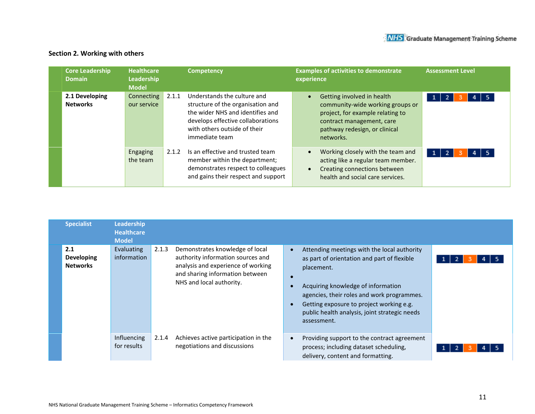## **Section 2. Working with others**

| <b>Core Leadership</b><br><b>Domain</b> | <b>Healthcare</b><br>Leadership<br><b>Model</b> |       | <b>Competency</b>                                                                                                                                                                           | <b>Examples of activities to demonstrate</b><br>experience                                                                                                                    | <b>Assessment Level</b>  |
|-----------------------------------------|-------------------------------------------------|-------|---------------------------------------------------------------------------------------------------------------------------------------------------------------------------------------------|-------------------------------------------------------------------------------------------------------------------------------------------------------------------------------|--------------------------|
| 2.1 Developing<br><b>Networks</b>       | Connecting<br>our service                       | 2.1.1 | Understands the culture and<br>structure of the organisation and<br>the wider NHS and identifies and<br>develops effective collaborations<br>with others outside of their<br>immediate team | Getting involved in health<br>community-wide working groups or<br>project, for example relating to<br>contract management, care<br>pathway redesign, or clinical<br>networks. | $4 \mid 5$<br>$1 \mid 2$ |
|                                         | Engaging<br>the team                            | 2.1.2 | Is an effective and trusted team<br>member within the department;<br>demonstrates respect to colleagues<br>and gains their respect and support                                              | Working closely with the team and<br>acting like a regular team member.<br>Creating connections between<br>health and social care services.                                   | $4 \mid 5$<br>$1 \mid 2$ |

| <b>Specialist</b>      |                   | Leadership<br><b>Healthcare</b><br><b>Model</b> |       |                                                                                                                                                                           |                                                                                                                                                                                                                                                                                                          |
|------------------------|-------------------|-------------------------------------------------|-------|---------------------------------------------------------------------------------------------------------------------------------------------------------------------------|----------------------------------------------------------------------------------------------------------------------------------------------------------------------------------------------------------------------------------------------------------------------------------------------------------|
| 2.1<br><b>Networks</b> | <b>Developing</b> | Evaluating<br>information                       | 2.1.3 | Demonstrates knowledge of local<br>authority information sources and<br>analysis and experience of working<br>and sharing information between<br>NHS and local authority. | Attending meetings with the local authority<br>as part of orientation and part of flexible<br>placement.<br>Acquiring knowledge of information<br>agencies, their roles and work programmes.<br>Getting exposure to project working e.g.<br>public health analysis, joint strategic needs<br>assessment. |
|                        |                   | Influencing<br>for results                      | 2.1.4 | Achieves active participation in the<br>negotiations and discussions                                                                                                      | Providing support to the contract agreement<br>process; including dataset scheduling,<br>delivery, content and formatting.                                                                                                                                                                               |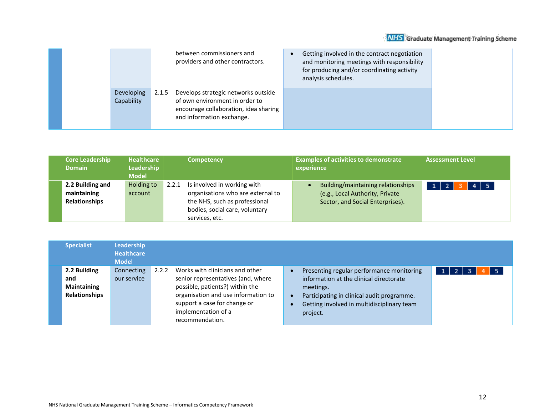|                          | between commissioners and<br>providers and other contractors.                                                                                        | Getting involved in the contract negotiation<br>and monitoring meetings with responsibility<br>for producing and/or coordinating activity<br>analysis schedules. |
|--------------------------|------------------------------------------------------------------------------------------------------------------------------------------------------|------------------------------------------------------------------------------------------------------------------------------------------------------------------|
| Developing<br>Capability | Develops strategic networks outside<br>2.1.5<br>of own environment in order to<br>encourage collaboration, idea sharing<br>and information exchange. |                                                                                                                                                                  |

| <b>Core Leadership</b><br><b>Domain</b>                 | <b>Healthcare</b><br>Leadership<br><b>Model</b> | <b>Competency</b>                                                                                                                                              | <b>Examples of activities to demonstrate</b><br>experience                                                | <b>Assessment Level</b>    |
|---------------------------------------------------------|-------------------------------------------------|----------------------------------------------------------------------------------------------------------------------------------------------------------------|-----------------------------------------------------------------------------------------------------------|----------------------------|
| 2.2 Building and<br>maintaining<br><b>Relationships</b> | Holding to<br>account                           | Is involved in working with<br>2.2.1<br>organisations who are external to<br>the NHS, such as professional<br>bodies, social care, voluntary<br>services, etc. | Building/maintaining relationships<br>(e.g., Local Authority, Private<br>Sector, and Social Enterprises). | $4 \mid 5$<br>$\mathbf{1}$ |

| <b>Specialist</b>                                          | <b>Leadership</b><br><b>Healthcare</b><br><b>Model</b> |                                                                                                                                                                                                                                    |                                                                                                                                                                                                           |                                        |
|------------------------------------------------------------|--------------------------------------------------------|------------------------------------------------------------------------------------------------------------------------------------------------------------------------------------------------------------------------------------|-----------------------------------------------------------------------------------------------------------------------------------------------------------------------------------------------------------|----------------------------------------|
| 2.2 Building<br>and<br><b>Maintaining</b><br>Relationships | Connecting<br>our service                              | Works with clinicians and other<br>2.2.2<br>senior representatives (and, where<br>possible, patients?) within the<br>organisation and use information to<br>support a case for change or<br>implementation of a<br>recommendation. | Presenting regular performance monitoring<br>information at the clinical directorate<br>meetings.<br>Participating in clinical audit programme.<br>Getting involved in multidisciplinary team<br>project. | -5<br>1 <sup>1</sup><br>$\overline{2}$ |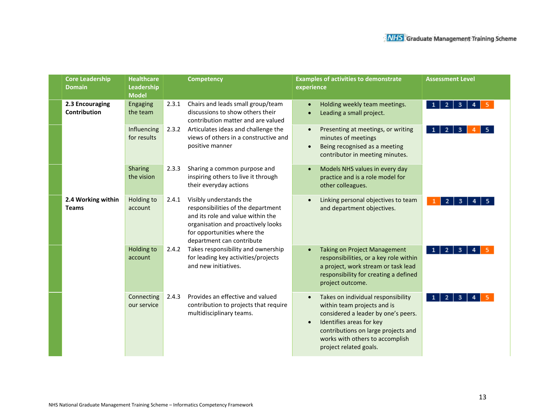| <b>Core Leadership</b><br><b>Domain</b> | <b>Healthcare</b><br>Leadership<br><b>Model</b> |       | <b>Competency</b>                                                                                                                                                                                    | <b>Examples of activities to demonstrate</b><br><b>Assessment Level</b><br>experience                                                                                                                                                                      |
|-----------------------------------------|-------------------------------------------------|-------|------------------------------------------------------------------------------------------------------------------------------------------------------------------------------------------------------|------------------------------------------------------------------------------------------------------------------------------------------------------------------------------------------------------------------------------------------------------------|
| 2.3 Encouraging<br><b>Contribution</b>  | <b>Engaging</b><br>the team                     | 2.3.1 | Chairs and leads small group/team<br>discussions to show others their<br>contribution matter and are valued                                                                                          | Holding weekly team meetings.<br>$1 \mid 2 \mid 3 \mid$<br>4<br>Leading a small project.                                                                                                                                                                   |
|                                         | Influencing<br>for results                      | 2.3.2 | Articulates ideas and challenge the<br>views of others in a constructive and<br>positive manner                                                                                                      | Presenting at meetings, or writing<br>$\overline{\mathbf{3}}$<br>-2<br>minutes of meetings<br>Being recognised as a meeting<br>$\bullet$<br>contributor in meeting minutes.                                                                                |
|                                         | <b>Sharing</b><br>the vision                    | 2.3.3 | Sharing a common purpose and<br>inspiring others to live it through<br>their everyday actions                                                                                                        | Models NHS values in every day<br>practice and is a role model for<br>other colleagues.                                                                                                                                                                    |
| 2.4 Working within<br><b>Teams</b>      | Holding to<br>account                           | 2.4.1 | Visibly understands the<br>responsibilities of the department<br>and its role and value within the<br>organisation and proactively looks<br>for opportunities where the<br>department can contribute | Linking personal objectives to team<br>3<br>2<br>and department objectives.                                                                                                                                                                                |
|                                         | Holding to<br>account                           | 2.4.2 | Takes responsibility and ownership<br>for leading key activities/projects<br>and new initiatives.                                                                                                    | <b>Taking on Project Management</b><br>$\overline{2}$<br>3<br>$\mathbf{\Phi}$<br>responsibilities, or a key role within<br>a project, work stream or task lead<br>responsibility for creating a defined<br>project outcome.                                |
|                                         | Connecting<br>our service                       | 2.4.3 | Provides an effective and valued<br>contribution to projects that require<br>multidisciplinary teams.                                                                                                | Takes on individual responsibility<br>3<br>within team projects and is<br>considered a leader by one's peers.<br>Identifies areas for key<br>$\bullet$<br>contributions on large projects and<br>works with others to accomplish<br>project related goals. |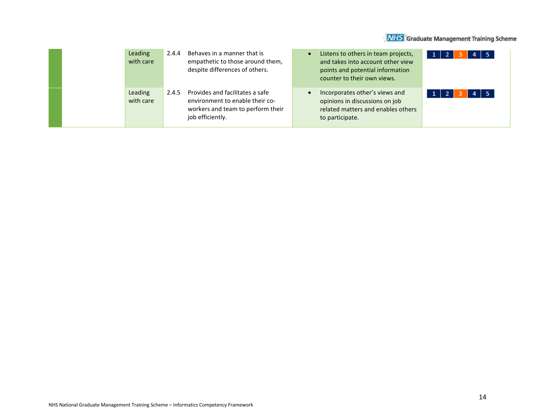|  | Leading<br>with care | 2.4.4 | Behaves in a manner that is<br>empathetic to those around them,<br>despite differences of others.                           | $\bullet$ | Listens to others in team projects,<br>and takes into account other view<br>points and potential information<br>counter to their own views. | $4 \mid 5$ |
|--|----------------------|-------|-----------------------------------------------------------------------------------------------------------------------------|-----------|---------------------------------------------------------------------------------------------------------------------------------------------|------------|
|  | Leading<br>with care | 2.4.5 | Provides and facilitates a safe<br>environment to enable their co-<br>workers and team to perform their<br>job efficiently. | $\bullet$ | Incorporates other's views and<br>opinions in discussions on job<br>related matters and enables others<br>to participate.                   | $4 \mid 5$ |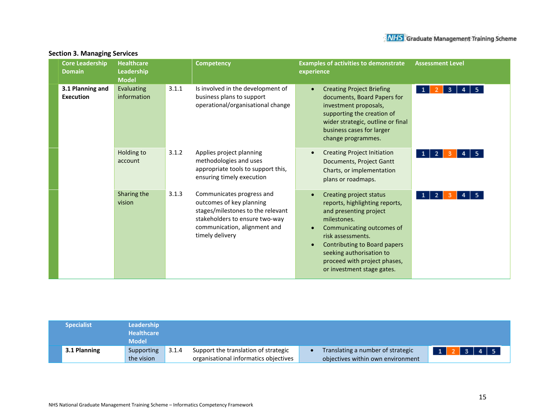| <b>Core Leadership</b><br><b>Domain</b> | <b>Healthcare</b><br>Leadership<br><b>Model</b> | <b>Competency</b> |                                                                                                                                                                                 | <b>Assessment Level</b><br><b>Examples of activities to demonstrate</b><br>experience                                                                                                                                                                                                                        |
|-----------------------------------------|-------------------------------------------------|-------------------|---------------------------------------------------------------------------------------------------------------------------------------------------------------------------------|--------------------------------------------------------------------------------------------------------------------------------------------------------------------------------------------------------------------------------------------------------------------------------------------------------------|
| 3.1 Planning and<br><b>Execution</b>    | Evaluating<br>information                       | 3.1.1             | Is involved in the development of<br>business plans to support<br>operational/organisational change                                                                             | <b>Creating Project Briefing</b><br>$\bullet$<br>$\mathbf{1}$<br>-5.<br>3.<br>4<br>documents, Board Papers for<br>investment proposals,<br>supporting the creation of<br>wider strategic, outline or final<br>business cases for larger<br>change programmes.                                                |
|                                         | Holding to<br>account                           | 3.1.2             | Applies project planning<br>methodologies and uses<br>appropriate tools to support this,<br>ensuring timely execution                                                           | <b>Creating Project Initiation</b><br>-5<br>2<br>1 <sup>1</sup><br>Documents, Project Gantt<br>Charts, or implementation<br>plans or roadmaps.                                                                                                                                                               |
|                                         | Sharing the<br>vision                           | 3.1.3             | Communicates progress and<br>outcomes of key planning<br>stages/milestones to the relevant<br>stakeholders to ensure two-way<br>communication, alignment and<br>timely delivery | Creating project status<br>$\overline{2}$<br>-5.<br>1<br>reports, highlighting reports,<br>and presenting project<br>milestones.<br>Communicating outcomes of<br>risk assessments.<br>Contributing to Board papers<br>seeking authorisation to<br>proceed with project phases,<br>or investment stage gates. |

#### **Section 3. Managing Services**

| <b>Specialist</b> | <b>Leadership</b><br><b>Healthcare</b><br><b>Model</b> |       |                                                                               |                                                                                             |  |
|-------------------|--------------------------------------------------------|-------|-------------------------------------------------------------------------------|---------------------------------------------------------------------------------------------|--|
| 3.1 Planning      | Supporting<br>the vision                               | 3.1.4 | Support the translation of strategic<br>organisational informatics objectives | $3 \mid 4 \mid 5$<br>Translating a number of strategic<br>objectives within own environment |  |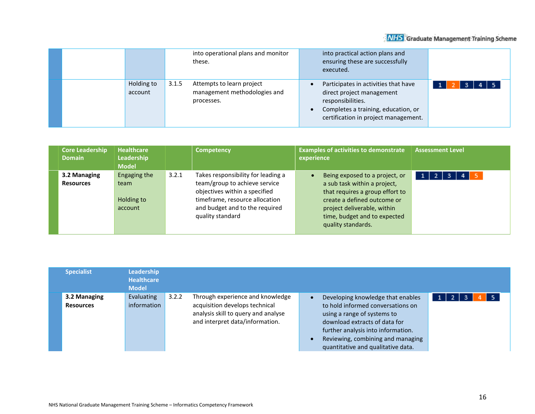|                       |       | into operational plans and monitor<br>these.                            |                        | into practical action plans and<br>ensuring these are successfully<br>executed.                                                                                       |                   |
|-----------------------|-------|-------------------------------------------------------------------------|------------------------|-----------------------------------------------------------------------------------------------------------------------------------------------------------------------|-------------------|
| Holding to<br>account | 3.1.5 | Attempts to learn project<br>management methodologies and<br>processes. | $\bullet$<br>$\bullet$ | Participates in activities that have<br>direct project management<br>responsibilities.<br>Completes a training, education, or<br>certification in project management. | $4 \mid 5$<br>-3. |

| <b>Core Leadership</b><br><b>Domain</b> | <b>Healthcare</b><br><b>Leadership</b><br><b>Model</b> | <b>Competency</b>                                                                                                                                                                                     | <b>Examples of activities to demonstrate</b><br>experience                                                                                                                                                                         | <b>Assessment Level</b> |
|-----------------------------------------|--------------------------------------------------------|-------------------------------------------------------------------------------------------------------------------------------------------------------------------------------------------------------|------------------------------------------------------------------------------------------------------------------------------------------------------------------------------------------------------------------------------------|-------------------------|
| 3.2 Managing<br><b>Resources</b>        | Engaging the<br>team<br>Holding to<br>account          | Takes responsibility for leading a<br>3.2.1<br>team/group to achieve service<br>objectives within a specified<br>timeframe, resource allocation<br>and budget and to the required<br>quality standard | Being exposed to a project, or<br>$\bullet$<br>a sub task within a project,<br>that requires a group effort to<br>create a defined outcome or<br>project deliverable, within<br>time, budget and to expected<br>quality standards. | 1<br>- 2<br>3           |

| <b>Specialist</b>                | <b>Leadership</b><br><b>Healthcare</b><br><b>Model</b> |       |                                                                                                                                              |                                                                                                                                                                                                                                                         |                      |
|----------------------------------|--------------------------------------------------------|-------|----------------------------------------------------------------------------------------------------------------------------------------------|---------------------------------------------------------------------------------------------------------------------------------------------------------------------------------------------------------------------------------------------------------|----------------------|
| 3.2 Managing<br><b>Resources</b> | Evaluating<br>information                              | 3.2.2 | Through experience and knowledge<br>acquisition develops technical<br>analysis skill to query and analyse<br>and interpret data/information. | Developing knowledge that enables<br>to hold informed conversations on<br>using a range of systems to<br>download extracts of data for<br>further analysis into information.<br>Reviewing, combining and managing<br>quantitative and qualitative data. | l 5<br>$\mathcal{F}$ |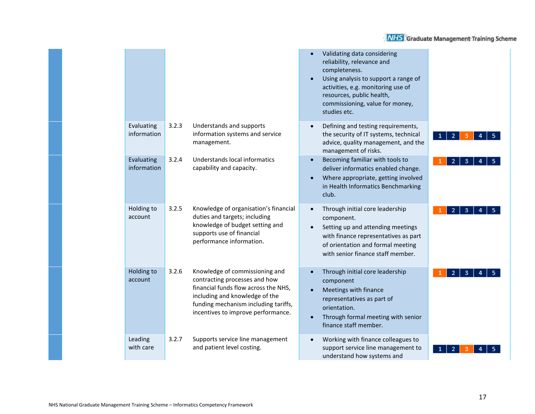|                           |       |                                                                                                                                                                                                                         | Validating data considering<br>reliability, relevance and<br>completeness.<br>Using analysis to support a range of<br>activities, e.g. monitoring use of<br>resources, public health,<br>commissioning, value for money,<br>studies etc. |
|---------------------------|-------|-------------------------------------------------------------------------------------------------------------------------------------------------------------------------------------------------------------------------|------------------------------------------------------------------------------------------------------------------------------------------------------------------------------------------------------------------------------------------|
| Evaluating<br>information | 3.2.3 | Understands and supports<br>information systems and service<br>management.                                                                                                                                              | Defining and testing requirements,<br>the security of IT systems, technical<br>2<br>advice, quality management, and the<br>management of risks.                                                                                          |
| Evaluating<br>information | 3.2.4 | Understands local informatics<br>capability and capacity.                                                                                                                                                               | Becoming familiar with tools to<br>$\bullet$<br>deliver informatics enabled change.<br>Where appropriate, getting involved<br>in Health Informatics Benchmarking<br>club.                                                                |
| Holding to<br>account     | 3.2.5 | Knowledge of organisation's financial<br>duties and targets; including<br>knowledge of budget setting and<br>supports use of financial<br>performance information.                                                      | Through initial core leadership<br>$\bullet$<br>$\overline{2}$<br>3<br>component.<br>Setting up and attending meetings<br>with finance representatives as part<br>of orientation and formal meeting<br>with senior finance staff member. |
| Holding to<br>account     | 3.2.6 | Knowledge of commissioning and<br>contracting processes and how<br>financial funds flow across the NHS,<br>including and knowledge of the<br>funding mechanism including tariffs,<br>incentives to improve performance. | Through initial core leadership<br>component<br>Meetings with finance<br>representatives as part of<br>orientation.<br>Through formal meeting with senior<br>$\bullet$<br>finance staff member.                                          |
| Leading<br>with care      | 3.2.7 | Supports service line management<br>and patient level costing.                                                                                                                                                          | Working with finance colleagues to<br>support service line management to<br>understand how systems and                                                                                                                                   |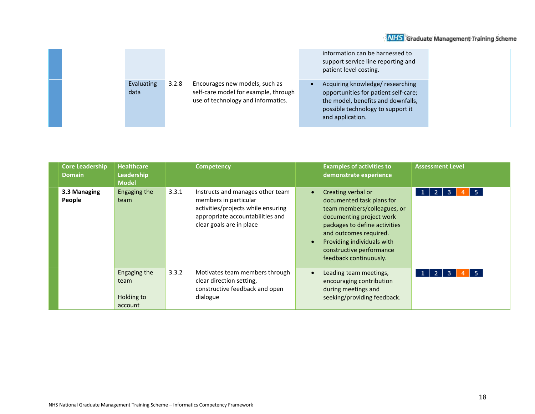|                    |                                                                                                                       | information can be harnessed to<br>support service line reporting and<br>patient level costing.                                                                        |  |
|--------------------|-----------------------------------------------------------------------------------------------------------------------|------------------------------------------------------------------------------------------------------------------------------------------------------------------------|--|
| Evaluating<br>data | 3.2.8<br>Encourages new models, such as<br>self-care model for example, through<br>use of technology and informatics. | Acquiring knowledge/researching<br>opportunities for patient self-care;<br>the model, benefits and downfalls,<br>possible technology to support it<br>and application. |  |

| <b>Core Leadership</b><br><b>Domain</b> | <b>Healthcare</b><br>Leadership<br><b>Model</b> | <b>Competency</b>                                                                                                                                                        | <b>Examples of activities to</b><br>demonstrate experience                                                                                                                                                                                                                          | <b>Assessment Level</b>        |
|-----------------------------------------|-------------------------------------------------|--------------------------------------------------------------------------------------------------------------------------------------------------------------------------|-------------------------------------------------------------------------------------------------------------------------------------------------------------------------------------------------------------------------------------------------------------------------------------|--------------------------------|
| 3.3 Managing<br>People                  | Engaging the<br>team                            | 3.3.1<br>Instructs and manages other team<br>members in particular<br>activities/projects while ensuring<br>appropriate accountabilities and<br>clear goals are in place | Creating verbal or<br>$\bullet$<br>documented task plans for<br>team members/colleagues, or<br>documenting project work<br>packages to define activities<br>and outcomes required.<br>Providing individuals with<br>$\bullet$<br>constructive performance<br>feedback continuously. | -5.<br>1<br>$\mathbf{Z}$<br>-3 |
|                                         | Engaging the<br>team<br>Holding to<br>account   | 3.3.2<br>Motivates team members through<br>clear direction setting,<br>constructive feedback and open<br>dialogue                                                        | Leading team meetings,<br>$\bullet$<br>encouraging contribution<br>during meetings and<br>seeking/providing feedback.                                                                                                                                                               | $1 \mid 2 \mid$<br>-5.<br>-3   |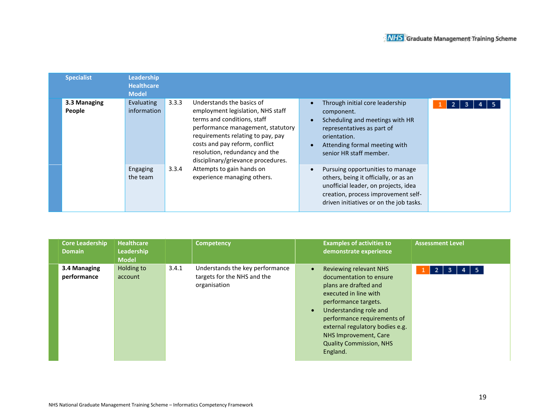| <b>Specialist</b>      | Leadership<br><b>Healthcare</b><br><b>Model</b> |       |                                                                                                                                                                                                                                                                                                                                               |                                                                                                                                                                                                                         |
|------------------------|-------------------------------------------------|-------|-----------------------------------------------------------------------------------------------------------------------------------------------------------------------------------------------------------------------------------------------------------------------------------------------------------------------------------------------|-------------------------------------------------------------------------------------------------------------------------------------------------------------------------------------------------------------------------|
| 3.3 Managing<br>People | Evaluating<br>information                       | 3.3.3 | Understands the basics of<br>employment legislation, NHS staff<br>terms and conditions, staff<br>performance management, statutory<br>requirements relating to pay, pay<br>costs and pay reform, conflict<br>resolution, redundancy and the<br>disciplinary/grievance procedures.<br>Attempts to gain hands on<br>experience managing others. | Through initial core leadership<br>2<br>5.<br>3<br>component.<br>Scheduling and meetings with HR<br>$\bullet$<br>representatives as part of<br>orientation.<br>Attending formal meeting with<br>senior HR staff member. |
|                        | Engaging<br>the team                            | 3.3.4 |                                                                                                                                                                                                                                                                                                                                               | Pursuing opportunities to manage<br>others, being it officially, or as an<br>unofficial leader, on projects, idea<br>creation, process improvement self-<br>driven initiatives or on the job tasks.                     |

| <b>Core Leadership</b><br><b>Domain</b> | <b>Healthcare</b><br>Leadership<br><b>Model</b> | <b>Competency</b>                                                                       | <b>Examples of activities to</b><br>demonstrate experience                                                                                                                                                                                                                                                                      | <b>Assessment Level</b>       |
|-----------------------------------------|-------------------------------------------------|-----------------------------------------------------------------------------------------|---------------------------------------------------------------------------------------------------------------------------------------------------------------------------------------------------------------------------------------------------------------------------------------------------------------------------------|-------------------------------|
| 3.4 Managing<br>performance             | Holding to<br>account                           | 3.4.1<br>Understands the key performance<br>targets for the NHS and the<br>organisation | <b>Reviewing relevant NHS</b><br>$\bullet$<br>documentation to ensure<br>plans are drafted and<br>executed in line with<br>performance targets.<br>Understanding role and<br>$\bullet$<br>performance requirements of<br>external regulatory bodies e.g.<br>NHS Improvement, Care<br><b>Quality Commission, NHS</b><br>England. | $4 \mid 5$<br>$2 \mid 3 \mid$ |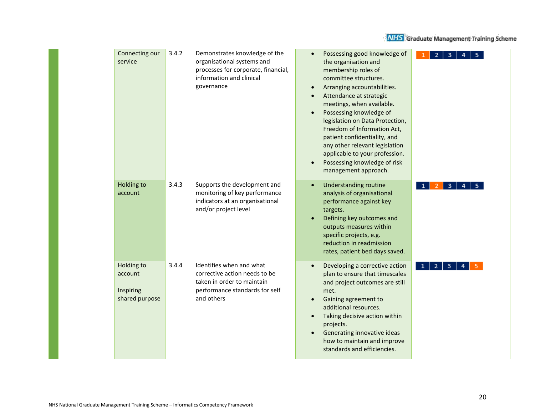| Connecting our<br>service                            | 3.4.2 | Demonstrates knowledge of the<br>organisational systems and<br>processes for corporate, financial,<br>information and clinical<br>governance | $\bullet$<br>$\bullet$<br>$\bullet$<br>$\bullet$ | Possessing good knowledge of<br>the organisation and<br>membership roles of<br>committee structures.<br>Arranging accountabilities.<br>Attendance at strategic<br>meetings, when available.<br>Possessing knowledge of<br>legislation on Data Protection,<br>Freedom of Information Act,<br>patient confidentiality, and<br>any other relevant legislation<br>applicable to your profession.<br>Possessing knowledge of risk<br>management approach. |             |  |
|------------------------------------------------------|-------|----------------------------------------------------------------------------------------------------------------------------------------------|--------------------------------------------------|------------------------------------------------------------------------------------------------------------------------------------------------------------------------------------------------------------------------------------------------------------------------------------------------------------------------------------------------------------------------------------------------------------------------------------------------------|-------------|--|
| Holding to<br>account                                | 3.4.3 | Supports the development and<br>monitoring of key performance<br>indicators at an organisational<br>and/or project level                     | $\bullet$<br>$\bullet$                           | <b>Understanding routine</b><br>analysis of organisational<br>performance against key<br>targets.<br>Defining key outcomes and<br>outputs measures within<br>specific projects, e.g.<br>reduction in readmission<br>rates, patient bed days saved.                                                                                                                                                                                                   | 3           |  |
| Holding to<br>account<br>Inspiring<br>shared purpose | 3.4.4 | Identifies when and what<br>corrective action needs to be<br>taken in order to maintain<br>performance standards for self<br>and others      | $\bullet$<br>$\bullet$<br>$\bullet$<br>$\bullet$ | Developing a corrective action<br>plan to ensure that timescales<br>and project outcomes are still<br>met.<br>Gaining agreement to<br>additional resources.<br>Taking decisive action within<br>projects.<br>Generating innovative ideas<br>how to maintain and improve<br>standards and efficiencies.                                                                                                                                               | 3<br>2<br>1 |  |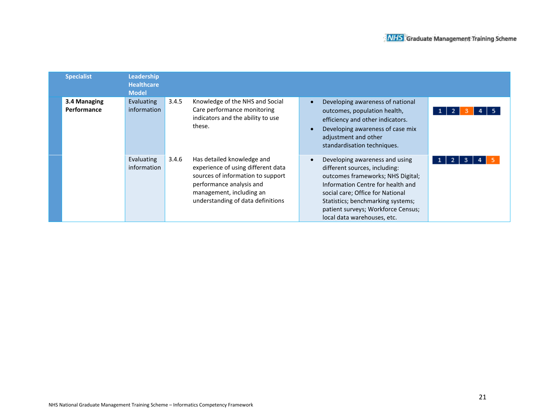| <b>Specialist</b>           | <b>Leadership</b><br><b>Healthcare</b><br><b>Model</b> |       |                                                                                                                                                                                                    |           |                                                                                                                                                                                                                                                                                         |         |
|-----------------------------|--------------------------------------------------------|-------|----------------------------------------------------------------------------------------------------------------------------------------------------------------------------------------------------|-----------|-----------------------------------------------------------------------------------------------------------------------------------------------------------------------------------------------------------------------------------------------------------------------------------------|---------|
| 3.4 Managing<br>Performance | <b>Evaluating</b><br>information                       | 3.4.5 | Knowledge of the NHS and Social<br>Care performance monitoring<br>indicators and the ability to use<br>these.                                                                                      | $\bullet$ | Developing awareness of national<br>outcomes, population health,<br>efficiency and other indicators.<br>Developing awareness of case mix<br>adjustment and other<br>standardisation techniques.                                                                                         | -2<br>1 |
|                             | Evaluating<br>information                              | 3.4.6 | Has detailed knowledge and<br>experience of using different data<br>sources of information to support<br>performance analysis and<br>management, including an<br>understanding of data definitions |           | Developing awareness and using<br>different sources, including:<br>outcomes frameworks; NHS Digital;<br>Information Centre for health and<br>social care; Office for National<br>Statistics; benchmarking systems;<br>patient surveys; Workforce Census;<br>local data warehouses, etc. | 2<br>3  |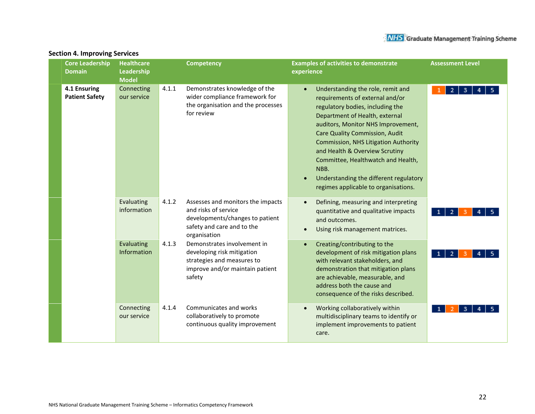| <b>Core Leadership</b><br><b>Domain</b> | <b>Healthcare</b><br>Leadership<br><b>Model</b> |       | <b>Competency</b>                                                                                                                          | <b>Examples of activities to demonstrate</b><br><b>Assessment Level</b><br>experience                                                                                                                                                                                                                                                                                                                                                                             |
|-----------------------------------------|-------------------------------------------------|-------|--------------------------------------------------------------------------------------------------------------------------------------------|-------------------------------------------------------------------------------------------------------------------------------------------------------------------------------------------------------------------------------------------------------------------------------------------------------------------------------------------------------------------------------------------------------------------------------------------------------------------|
| 4.1 Ensuring<br><b>Patient Safety</b>   | Connecting<br>our service                       | 4.1.1 | Demonstrates knowledge of the<br>wider compliance framework for<br>the organisation and the processes<br>for review                        | Understanding the role, remit and<br>$\overline{2}$<br>3<br>requirements of external and/or<br>regulatory bodies, including the<br>Department of Health, external<br>auditors, Monitor NHS Improvement,<br><b>Care Quality Commission, Audit</b><br><b>Commission, NHS Litigation Authority</b><br>and Health & Overview Scrutiny<br>Committee, Healthwatch and Health,<br>NBB.<br>Understanding the different regulatory<br>regimes applicable to organisations. |
|                                         | Evaluating<br>information                       | 4.1.2 | Assesses and monitors the impacts<br>and risks of service<br>developments/changes to patient<br>safety and care and to the<br>organisation | Defining, measuring and interpreting<br>quantitative and qualitative impacts<br>$\overline{2}$<br>and outcomes.<br>Using risk management matrices.                                                                                                                                                                                                                                                                                                                |
|                                         | Evaluating<br><b>Information</b>                | 4.1.3 | Demonstrates involvement in<br>developing risk mitigation<br>strategies and measures to<br>improve and/or maintain patient<br>safety       | Creating/contributing to the<br>development of risk mitigation plans<br>$\overline{2}$<br>-1<br>with relevant stakeholders, and<br>demonstration that mitigation plans<br>are achievable, measurable, and<br>address both the cause and<br>consequence of the risks described.                                                                                                                                                                                    |
|                                         | Connecting<br>our service                       | 4.1.4 | Communicates and works<br>collaboratively to promote<br>continuous quality improvement                                                     | Working collaboratively within<br>multidisciplinary teams to identify or<br>implement improvements to patient<br>care.                                                                                                                                                                                                                                                                                                                                            |

### **Section 4. Improving Services**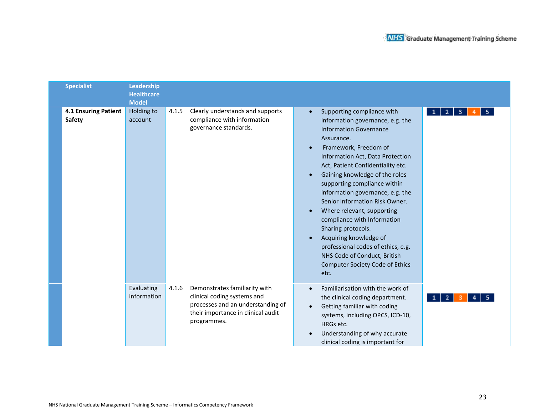| <b>Specialist</b>              | Leadership<br><b>Healthcare</b><br><b>Model</b> |       |                                                                                                                                                        |                                                                                                                                                                                                                                                                                                                                                                                                                                                                                                                                                                                                                                                                       |
|--------------------------------|-------------------------------------------------|-------|--------------------------------------------------------------------------------------------------------------------------------------------------------|-----------------------------------------------------------------------------------------------------------------------------------------------------------------------------------------------------------------------------------------------------------------------------------------------------------------------------------------------------------------------------------------------------------------------------------------------------------------------------------------------------------------------------------------------------------------------------------------------------------------------------------------------------------------------|
| 4.1 Ensuring Patient<br>Safety | Holding to<br>account                           | 4.1.5 | Clearly understands and supports<br>compliance with information<br>governance standards.                                                               | Supporting compliance with<br>$\vert$ 2 $\vert$<br>$\mathbf{3}$<br>1 <sup>1</sup><br>5<br>$\bullet$<br>information governance, e.g. the<br><b>Information Governance</b><br>Assurance.<br>Framework, Freedom of<br>Information Act, Data Protection<br>Act, Patient Confidentiality etc.<br>Gaining knowledge of the roles<br>supporting compliance within<br>information governance, e.g. the<br>Senior Information Risk Owner.<br>Where relevant, supporting<br>compliance with Information<br>Sharing protocols.<br>Acquiring knowledge of<br>professional codes of ethics, e.g.<br>NHS Code of Conduct, British<br><b>Computer Society Code of Ethics</b><br>etc. |
|                                | Evaluating<br>information                       | 4.1.6 | Demonstrates familiarity with<br>clinical coding systems and<br>processes and an understanding of<br>their importance in clinical audit<br>programmes. | Familiarisation with the work of<br>the clinical coding department.<br>2 <sup>1</sup><br>1<br>Getting familiar with coding<br>$\bullet$<br>systems, including OPCS, ICD-10,<br>HRGs etc.<br>Understanding of why accurate<br>clinical coding is important for                                                                                                                                                                                                                                                                                                                                                                                                         |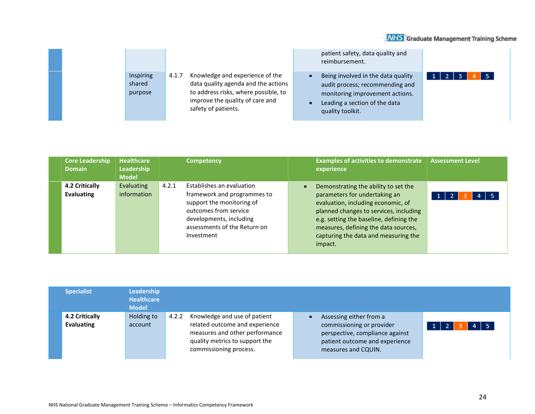|                                |                                                                                                                                                                                   | patient safety, data quality and<br>reimbursement.                                                                                                            |  |
|--------------------------------|-----------------------------------------------------------------------------------------------------------------------------------------------------------------------------------|---------------------------------------------------------------------------------------------------------------------------------------------------------------|--|
| Inspiring<br>shared<br>purpose | Knowledge and experience of the<br>4.1.7<br>data quality agenda and the actions<br>to address risks, where possible, to<br>improve the quality of care and<br>safety of patients. | Being involved in the data quality<br>audit process; recommending and<br>monitoring improvement actions.<br>Leading a section of the data<br>quality toolkit. |  |

| <b>Core Leadership</b><br><b>Domain</b> | <b>Healthcare</b><br>Leadership<br><b>Model</b> | <b>Competency</b>                                                                                                                                                                                | <b>Examples of activities to demonstrate</b><br><b>Assessment Level</b><br>experience                                                                                                                                                                                                                                       |
|-----------------------------------------|-------------------------------------------------|--------------------------------------------------------------------------------------------------------------------------------------------------------------------------------------------------|-----------------------------------------------------------------------------------------------------------------------------------------------------------------------------------------------------------------------------------------------------------------------------------------------------------------------------|
| 4.2 Critically<br>Evaluating            | Evaluating<br>information                       | 4.2.1<br>Establishes an evaluation<br>framework and programmes to<br>support the monitoring of<br>outcomes from service<br>developments, including<br>assessments of the Return on<br>Investment | Demonstrating the ability to set the<br>parameters for undertaking an<br>$\sqrt{5}$<br>1 <sup>1</sup><br>evaluation, including economic, of<br>planned changes to services, including<br>e.g. setting the baseline, defining the<br>measures, defining the data sources,<br>capturing the data and measuring the<br>impact. |

| <b>Specialist</b>            | Leadership<br><b>Healthcare</b><br><b>Model</b> |       |                                                                                                                                                              |                                                                                                                                                  |      |
|------------------------------|-------------------------------------------------|-------|--------------------------------------------------------------------------------------------------------------------------------------------------------------|--------------------------------------------------------------------------------------------------------------------------------------------------|------|
| 4.2 Critically<br>Evaluating | Holding to<br>account                           | 4.2.2 | Knowledge and use of patient<br>related outcome and experience<br>measures and other performance<br>quality metrics to support the<br>commissioning process. | Assessing either from a<br>commissioning or provider<br>perspective, compliance against<br>patient outcome and experience<br>measures and CQUIN. | $-5$ |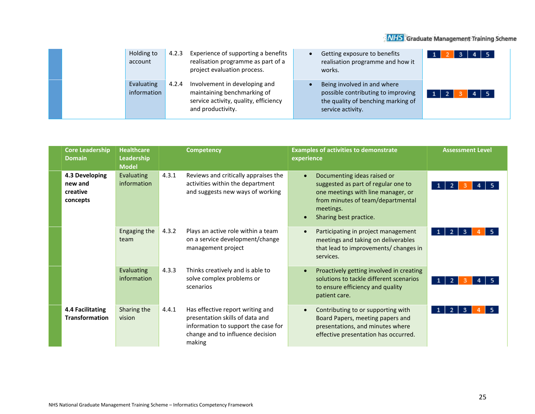|  | Holding to<br>account     | 4.2.3 | Experience of supporting a benefits<br>realisation programme as part of a<br>project evaluation process.                   | Getting exposure to benefits<br>realisation programme and how it<br>works.                                                   |  |
|--|---------------------------|-------|----------------------------------------------------------------------------------------------------------------------------|------------------------------------------------------------------------------------------------------------------------------|--|
|  | Evaluating<br>information | 4.2.4 | Involvement in developing and<br>maintaining benchmarking of<br>service activity, quality, efficiency<br>and productivity. | Being involved in and where<br>possible contributing to improving<br>the quality of benching marking of<br>service activity. |  |

| <b>Core Leadership</b><br><b>Domain</b>           | <b>Healthcare</b><br>Leadership<br><b>Model</b> | <b>Competency</b>                                                                                                                                                 | <b>Examples of activities to demonstrate</b><br>experience                                                                                                                           | <b>Assessment Level</b>  |
|---------------------------------------------------|-------------------------------------------------|-------------------------------------------------------------------------------------------------------------------------------------------------------------------|--------------------------------------------------------------------------------------------------------------------------------------------------------------------------------------|--------------------------|
| 4.3 Developing<br>new and<br>creative<br>concepts | <b>Evaluating</b><br>information                | 4.3.1<br>Reviews and critically appraises the<br>activities within the department<br>and suggests new ways of working                                             | Documenting ideas raised or<br>suggested as part of regular one to<br>one meetings with line manager, or<br>from minutes of team/departmental<br>meetings.<br>Sharing best practice. |                          |
|                                                   | Engaging the<br>team                            | 4.3.2<br>Plays an active role within a team<br>on a service development/change<br>management project                                                              | Participating in project management<br>meetings and taking on deliverables<br>that lead to improvements/ changes in<br>services.                                                     | $\mathbf{2}$<br>-3<br>-1 |
|                                                   | Evaluating<br>information                       | Thinks creatively and is able to<br>4.3.3<br>solve complex problems or<br>scenarios                                                                               | Proactively getting involved in creating<br>solutions to tackle different scenarios<br>to ensure efficiency and quality<br>patient care.                                             | $\mathbf{0}$<br>2        |
| 4.4 Facilitating<br><b>Transformation</b>         | Sharing the<br>vision                           | 4.4.1<br>Has effective report writing and<br>presentation skills of data and<br>information to support the case for<br>change and to influence decision<br>making | Contributing to or supporting with<br>Board Papers, meeting papers and<br>presentations, and minutes where<br>effective presentation has occurred.                                   | 2<br>3                   |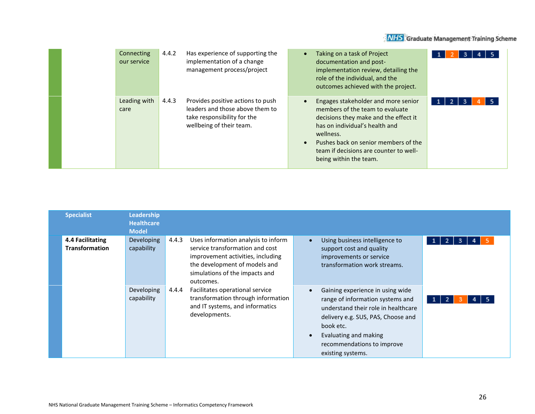| Connecting<br>our service | 4.4.2<br>Has experience of supporting the<br>implementation of a change<br>management process/project                                    | Taking on a task of Project<br>documentation and post-<br>implementation review, detailing the<br>role of the individual, and the<br>outcomes achieved with the project.                                                                                                   |  |
|---------------------------|------------------------------------------------------------------------------------------------------------------------------------------|----------------------------------------------------------------------------------------------------------------------------------------------------------------------------------------------------------------------------------------------------------------------------|--|
| Leading with<br>care      | Provides positive actions to push<br>4.4.3<br>leaders and those above them to<br>take responsibility for the<br>wellbeing of their team. | Engages stakeholder and more senior<br>members of the team to evaluate<br>decisions they make and the effect it<br>has on individual's health and<br>wellness.<br>Pushes back on senior members of the<br>team if decisions are counter to well-<br>being within the team. |  |

| <b>Specialist</b>                                | Leadership<br><b>Healthcare</b><br><b>Model</b> |       |                                                                                                                                                                                             |                        |                                                                                                                                                                                                                                            |                                      |
|--------------------------------------------------|-------------------------------------------------|-------|---------------------------------------------------------------------------------------------------------------------------------------------------------------------------------------------|------------------------|--------------------------------------------------------------------------------------------------------------------------------------------------------------------------------------------------------------------------------------------|--------------------------------------|
| <b>4.4 Facilitating</b><br><b>Transformation</b> | Developing<br>capability                        | 4.4.3 | Uses information analysis to inform<br>service transformation and cost<br>improvement activities, including<br>the development of models and<br>simulations of the impacts and<br>outcomes. | $\bullet$              | Using business intelligence to<br>support cost and quality<br>improvements or service<br>transformation work streams.                                                                                                                      | 3<br>$\overline{2}$<br>1<br>4        |
|                                                  | Developing<br>capability                        | 4.4.4 | Facilitates operational service<br>transformation through information<br>and IT systems, and informatics<br>developments.                                                                   | $\bullet$<br>$\bullet$ | Gaining experience in using wide<br>range of information systems and<br>understand their role in healthcare<br>delivery e.g. SUS, PAS, Choose and<br>book etc.<br>Evaluating and making<br>recommendations to improve<br>existing systems. | $\mathbf{A}$<br>1 <sup>1</sup><br>-5 |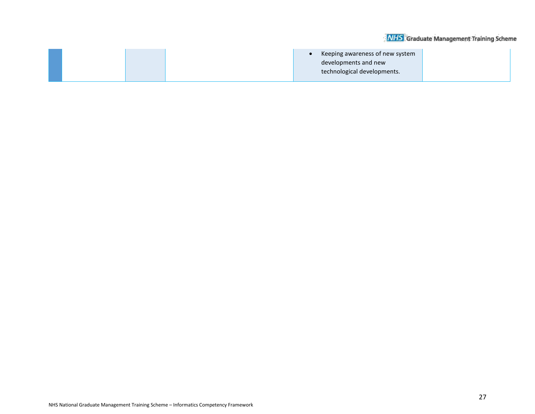|  | Keeping awareness of new system<br>developments and new<br>technological developments. |  |
|--|----------------------------------------------------------------------------------------|--|
|  |                                                                                        |  |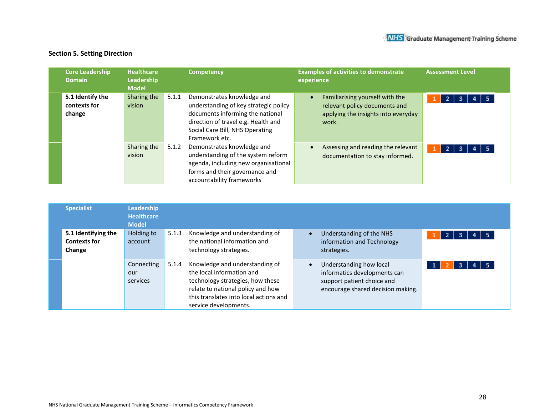## **Section 5. Setting Direction**

| <b>Core Leadership</b><br><b>Domain</b>    | <b>Healthcare</b><br>Leadership<br><b>Model</b> |       | <b>Competency</b>                                                                                                                                                                                   | <b>Examples of activities to demonstrate</b><br>experience                                                                    | <b>Assessment Level</b>   |
|--------------------------------------------|-------------------------------------------------|-------|-----------------------------------------------------------------------------------------------------------------------------------------------------------------------------------------------------|-------------------------------------------------------------------------------------------------------------------------------|---------------------------|
| 5.1 Identify the<br>contexts for<br>change | Sharing the<br>vision                           | 5.1.1 | Demonstrates knowledge and<br>understanding of key strategic policy<br>documents informing the national<br>direction of travel e.g. Health and<br>Social Care Bill, NHS Operating<br>Framework etc. | Familiarising yourself with the<br>$\bullet$<br>relevant policy documents and<br>applying the insights into everyday<br>work. | $\overline{2}$<br>-5      |
|                                            | Sharing the<br>vision                           | 5.1.2 | Demonstrates knowledge and<br>understanding of the system reform<br>agenda, including new organisational<br>forms and their governance and<br>accountability frameworks                             | Assessing and reading the relevant<br>$\bullet$<br>documentation to stay informed.                                            | $\overline{2}$<br>5<br>-3 |

| <b>Specialist</b>                                    | Leadership<br><b>Healthcare</b><br><b>Model</b> |       |                                                                                                                                                                                                         |                                                                                                                            |                 |
|------------------------------------------------------|-------------------------------------------------|-------|---------------------------------------------------------------------------------------------------------------------------------------------------------------------------------------------------------|----------------------------------------------------------------------------------------------------------------------------|-----------------|
| 5.1 Identifying the<br><b>Contexts for</b><br>Change | Holding to<br>account                           | 5.1.3 | Knowledge and understanding of<br>the national information and<br>technology strategies.                                                                                                                | Understanding of the NHS<br>information and Technology<br>strategies.                                                      | -5              |
|                                                      | Connecting<br>our<br>services                   | 5.1.4 | Knowledge and understanding of<br>the local information and<br>technology strategies, how these<br>relate to national policy and how<br>this translates into local actions and<br>service developments. | Understanding how local<br>informatics developments can<br>support patient choice and<br>encourage shared decision making. | - 5<br>з<br>4 I |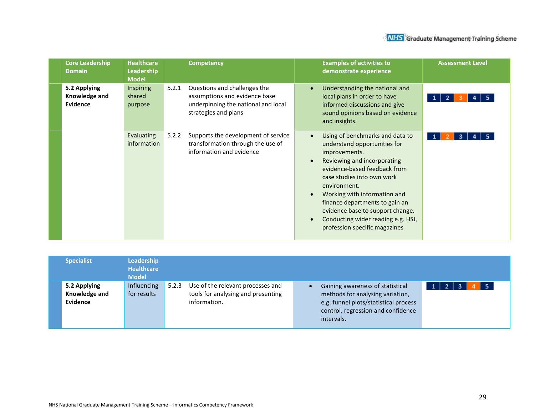| <b>Core Leadership</b><br><b>Domain</b>   | <b>Healthcare</b><br>Leadership<br><b>Model</b> | <b>Competency</b>                 |                                                                                                      |                                     | <b>Examples of activities to</b><br>demonstrate experience                                                                                                                                                                                                                                                                                                                 | <b>Assessment Level</b> |
|-------------------------------------------|-------------------------------------------------|-----------------------------------|------------------------------------------------------------------------------------------------------|-------------------------------------|----------------------------------------------------------------------------------------------------------------------------------------------------------------------------------------------------------------------------------------------------------------------------------------------------------------------------------------------------------------------------|-------------------------|
| 5.2 Applying<br>Knowledge and<br>Evidence | <b>Inspiring</b><br>shared<br>purpose           | 5.2.1<br>strategies and plans     | Questions and challenges the<br>assumptions and evidence base<br>underpinning the national and local | $\bullet$                           | Understanding the national and<br>local plans in order to have<br>informed discussions and give<br>sound opinions based on evidence<br>and insights.                                                                                                                                                                                                                       |                         |
|                                           | Evaluating<br>information                       | 5.2.2<br>information and evidence | Supports the development of service<br>transformation through the use of                             | $\bullet$<br>$\bullet$<br>$\bullet$ | Using of benchmarks and data to<br>understand opportunities for<br>improvements.<br>Reviewing and incorporating<br>evidence-based feedback from<br>case studies into own work<br>environment.<br>Working with information and<br>finance departments to gain an<br>evidence base to support change.<br>Conducting wider reading e.g. HSJ,<br>profession specific magazines |                         |

| <b>Specialist</b>                         | Leadership<br><b>Healthcare</b><br><b>Model</b> |                                                                                                  |                                                                                                                                                                   |                                                      |
|-------------------------------------------|-------------------------------------------------|--------------------------------------------------------------------------------------------------|-------------------------------------------------------------------------------------------------------------------------------------------------------------------|------------------------------------------------------|
| 5.2 Applying<br>Knowledge and<br>Evidence | Influencing<br>for results                      | Use of the relevant processes and<br>5.2.3<br>tools for analysing and presenting<br>information. | Gaining awareness of statistical<br>methods for analysing variation,<br>e.g. funnel plots/statistical process<br>control, regression and confidence<br>intervals. | $4 \mid 5$<br>1 <sup>1</sup><br>-3<br>$\overline{2}$ |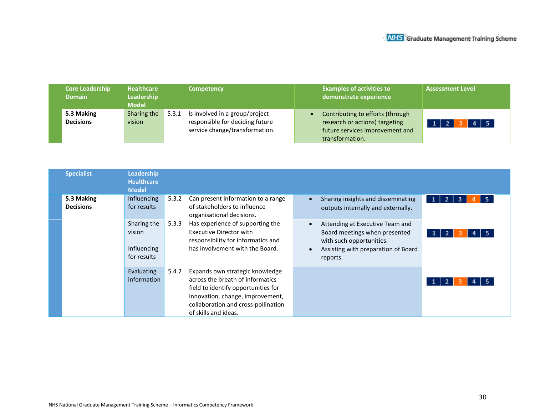| <b>Core Leadership</b><br>Domain <b>\</b> | <b>Healthcare</b><br>Leadership<br><b>Model</b> | <b>Competency</b>                                                                                            | <b>Examples of activities to</b><br>demonstrate experience                                                               | <b>Assessment Level</b> |
|-------------------------------------------|-------------------------------------------------|--------------------------------------------------------------------------------------------------------------|--------------------------------------------------------------------------------------------------------------------------|-------------------------|
| 5.3 Making<br><b>Decisions</b>            | Sharing the<br>vision                           | Is involved in a group/project<br>5.3.1<br>responsible for deciding future<br>service change/transformation. | Contributing to efforts (through<br>research or actions) targeting<br>future services improvement and<br>transformation. | $4 \mid 5$<br>- 7       |

| <b>Specialist</b>              | Leadership<br><b>Healthcare</b><br><b>Model</b>     |                                                                                                                                               |                                                                                                                                                                                                               |                                                                                                                                                 |  |
|--------------------------------|-----------------------------------------------------|-----------------------------------------------------------------------------------------------------------------------------------------------|---------------------------------------------------------------------------------------------------------------------------------------------------------------------------------------------------------------|-------------------------------------------------------------------------------------------------------------------------------------------------|--|
| 5.3 Making<br><b>Decisions</b> | Influencing<br>for results                          | 5.3.2                                                                                                                                         | Can present information to a range<br>of stakeholders to influence<br>organisational decisions.                                                                                                               | Sharing insights and disseminating<br>$\mathbf{1}$<br>-2.<br>5<br>-3<br>$\bullet$<br>outputs internally and externally.                         |  |
|                                | Sharing the<br>vision<br>Influencing<br>for results | Has experience of supporting the<br>5.3.3<br>Executive Director with<br>responsibility for informatics and<br>has involvement with the Board. |                                                                                                                                                                                                               | Attending at Executive Team and<br>Board meetings when presented<br>with such opportunities.<br>Assisting with preparation of Board<br>reports. |  |
|                                | Evaluating<br>information                           | 5.4.2                                                                                                                                         | Expands own strategic knowledge<br>across the breath of informatics<br>field to identify opportunities for<br>innovation, change, improvement,<br>collaboration and cross-pollination<br>of skills and ideas. |                                                                                                                                                 |  |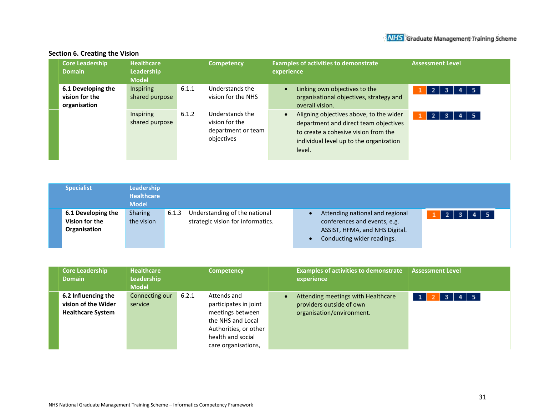| <b>Core Leadership</b><br><b>Domain</b>              | <b>Healthcare</b><br>Leadership<br><b>Model</b> |       | <b>Competency</b>                                                     | <b>Examples of activities to demonstrate</b><br><b>Assessment Level</b><br>experience                                                                                                                         |
|------------------------------------------------------|-------------------------------------------------|-------|-----------------------------------------------------------------------|---------------------------------------------------------------------------------------------------------------------------------------------------------------------------------------------------------------|
| 6.1 Developing the<br>vision for the<br>organisation | <b>Inspiring</b><br>shared purpose              | 6.1.1 | Understands the<br>vision for the NHS                                 | Linking own objectives to the<br>$\bullet$<br>$4 \mid 5$<br>72.<br>з<br>organisational objectives, strategy and<br>overall vision.                                                                            |
|                                                      | Inspiring<br>shared purpose                     | 6.1.2 | Understands the<br>vision for the<br>department or team<br>objectives | Aligning objectives above, to the wider<br>$\bullet$<br>- 5<br>-2.<br>з<br>department and direct team objectives<br>to create a cohesive vision from the<br>individual level up to the organization<br>level. |

## **Section 6. Creating the Vision**

| <b>Specialist</b>                                    | Leadership<br><b>Healthcare</b><br><b>Model</b> |       |                                                                    |                                                                                                                                 |                                     |
|------------------------------------------------------|-------------------------------------------------|-------|--------------------------------------------------------------------|---------------------------------------------------------------------------------------------------------------------------------|-------------------------------------|
| 6.1 Developing the<br>Vision for the<br>Organisation | <b>Sharing</b><br>the vision                    | 6.1.3 | Understanding of the national<br>strategic vision for informatics. | Attending national and regional<br>conferences and events, e.g.<br>ASSIST, HFMA, and NHS Digital.<br>Conducting wider readings. | $4 \mid 5$<br>2 <sup>1</sup><br>-3. |

| <b>Core Leadership</b><br><b>Domain</b>                                | <b>Healthcare</b><br>Leadership<br><b>Model</b> | <b>Competency</b>                                                                                                                                           | <b>Examples of activities to demonstrate</b><br>experience                                  | <b>Assessment Level</b> |
|------------------------------------------------------------------------|-------------------------------------------------|-------------------------------------------------------------------------------------------------------------------------------------------------------------|---------------------------------------------------------------------------------------------|-------------------------|
| 6.2 Influencing the<br>vision of the Wider<br><b>Healthcare System</b> | Connecting our<br>service                       | 6.2.1<br>Attends and<br>participates in joint<br>meetings between<br>the NHS and Local<br>Authorities, or other<br>health and social<br>care organisations, | Attending meetings with Healthcare<br>providers outside of own<br>organisation/environment. | $4 \mid 5$<br>-3        |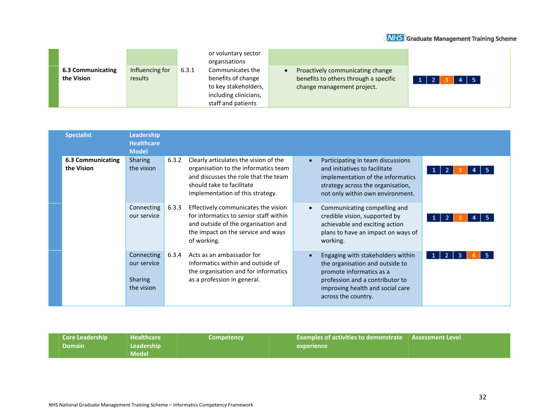|                                 |                            |       | or voluntary sector<br>organisations                                                                          |                                                                                                         |                               |
|---------------------------------|----------------------------|-------|---------------------------------------------------------------------------------------------------------------|---------------------------------------------------------------------------------------------------------|-------------------------------|
| 6.3 Communicating<br>the Vision | Influencing for<br>results | 6.3.1 | Communicates the<br>benefits of change<br>to key stakeholders,<br>including clinicians,<br>staff and patients | Proactively communicating change<br>benefits to others through a specific<br>change management project. | $1 \mid 2 \mid$<br>$4 \mid 5$ |

| <b>Specialist</b>                      | <b>Leadership</b><br><b>Healthcare</b><br><b>Model</b>    |       |                                                                                                                                                                                        |                                                                                                                                                                                                |                                    |                |
|----------------------------------------|-----------------------------------------------------------|-------|----------------------------------------------------------------------------------------------------------------------------------------------------------------------------------------|------------------------------------------------------------------------------------------------------------------------------------------------------------------------------------------------|------------------------------------|----------------|
| <b>6.3 Communicating</b><br>the Vision | <b>Sharing</b><br>the vision                              | 6.3.2 | Clearly articulates the vision of the<br>organisation to the informatics team<br>and discusses the role that the team<br>should take to facilitate<br>implementation of this strategy. | Participating in team discussions<br>$\bullet$<br>and initiatives to facilitate<br>strategy across the organisation,<br>not only within own environment.                                       | implementation of the informatics  | 1 <sup>1</sup> |
|                                        | Connecting<br>our service                                 | 6.3.3 | Effectively communicates the vision<br>for informatics to senior staff within<br>and outside of the organisation and<br>the impact on the service and ways<br>of working.              | Communicating compelling and<br>$\bullet$<br>credible vision, supported by<br>achievable and exciting action<br>working.                                                                       | plans to have an impact on ways of | 1 <sup>1</sup> |
|                                        | Connecting<br>our service<br><b>Sharing</b><br>the vision | 6.3.4 | Acts as an ambassador for<br>informatics within and outside of<br>the organisation and for informatics<br>as a profession in general.                                                  | Engaging with stakeholders within<br>the organisation and outside to<br>promote informatics as a<br>profession and a contributor to<br>improving health and social care<br>across the country. |                                    | -2<br>3        |

| <b>Core Leadership</b><br><b>Domain</b> | <b>Mealthcare</b><br>Leadership<br><b>Model</b> | <b>Competency</b> | <b>Examples of activities to demonstrate   Assessment Level  </b><br>experience |  |
|-----------------------------------------|-------------------------------------------------|-------------------|---------------------------------------------------------------------------------|--|
|-----------------------------------------|-------------------------------------------------|-------------------|---------------------------------------------------------------------------------|--|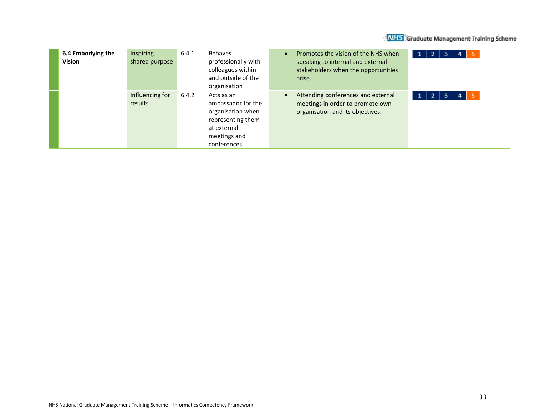| 6.4 Embodying the<br><b>Vision</b> | Inspiring<br>shared purpose | 6.4.1 | <b>Behaves</b><br>professionally with<br>colleagues within<br>and outside of the<br>organisation                         | Promotes the vision of the NHS when<br>speaking to internal and external<br>stakeholders when the opportunities<br>arise. | 1 <br>- 5<br>$\overline{2}$ .<br>3<br>4      |
|------------------------------------|-----------------------------|-------|--------------------------------------------------------------------------------------------------------------------------|---------------------------------------------------------------------------------------------------------------------------|----------------------------------------------|
|                                    | Influencing for<br>results  | 6.4.2 | Acts as an<br>ambassador for the<br>organisation when<br>representing them<br>at external<br>meetings and<br>conferences | Attending conferences and external<br>meetings in order to promote own<br>organisation and its objectives.                | $\overline{2}$<br>- 5<br>3<br>$1 \vert$<br>4 |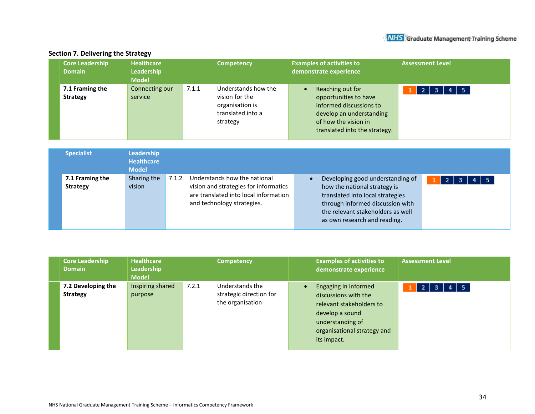#### **Core Leadership Healthcare Competency Examples of activities to Assessment Level Leadership Domain demonstrate experience Model 7.1 Framing the**  Connecting our 7.1.1 Understands how the • Reaching out for  $1$  2 3 4 5 vision for the **Strategy** service opportunities to have organisation is informed discussions to develop an understanding translated into a strategy of how the vision in translated into the strategy.

| <b>Specialist</b>                  | Leadership<br><b>Healthcare</b><br><b>Model</b> |       |                                                                                                                                              |                                                                                                                                                                                                               |                                |
|------------------------------------|-------------------------------------------------|-------|----------------------------------------------------------------------------------------------------------------------------------------------|---------------------------------------------------------------------------------------------------------------------------------------------------------------------------------------------------------------|--------------------------------|
| 7.1 Framing the<br><b>Strategy</b> | Sharing the<br>vision                           | 7.1.2 | Understands how the national<br>vision and strategies for informatics<br>are translated into local information<br>and technology strategies. | Developing good understanding of<br>how the national strategy is<br>translated into local strategies<br>through informed discussion with<br>the relevant stakeholders as well<br>as own research and reading. | $4 \mid 5$<br>$\vert$ 2<br>-3- |

| <b>Core Leadership</b><br><b>Domain</b> | <b>Healthcare</b><br>Leadership<br><b>Model</b> | <b>Competency</b>                                                       | <b>Examples of activities to</b><br>demonstrate experience                                                                                                    | <b>Assessment Level</b>             |
|-----------------------------------------|-------------------------------------------------|-------------------------------------------------------------------------|---------------------------------------------------------------------------------------------------------------------------------------------------------------|-------------------------------------|
| 7.2 Developing the<br><b>Strategy</b>   | Inspiring shared<br>purpose                     | 7.2.1<br>Understands the<br>strategic direction for<br>the organisation | Engaging in informed<br>discussions with the<br>relevant stakeholders to<br>develop a sound<br>understanding of<br>organisational strategy and<br>its impact. | $4 \mid 5$<br>$\overline{2}$<br>-3. |

## **Section 7. Delivering the Strategy**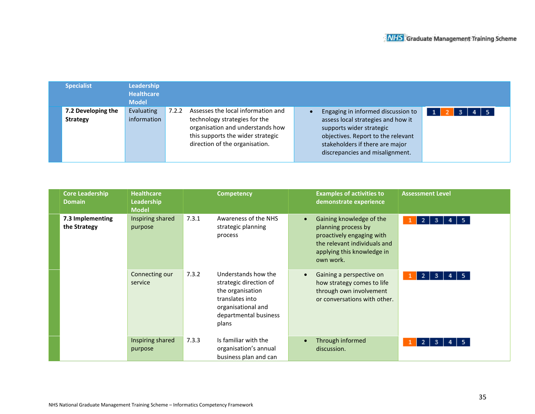| <b>Specialist</b>                     | <b>Leadership</b><br><b>Healthcare</b><br><b>Model</b> |       |                                                                                                                                                                                |                                                                                                                                                                                                                  |            |
|---------------------------------------|--------------------------------------------------------|-------|--------------------------------------------------------------------------------------------------------------------------------------------------------------------------------|------------------------------------------------------------------------------------------------------------------------------------------------------------------------------------------------------------------|------------|
| 7.2 Developing the<br><b>Strategy</b> | Evaluating<br>information                              | 7.2.2 | Assesses the local information and<br>technology strategies for the<br>organisation and understands how<br>this supports the wider strategic<br>direction of the organisation. | Engaging in informed discussion to<br>assess local strategies and how it<br>supports wider strategic<br>objectives. Report to the relevant<br>stakeholders if there are major<br>discrepancies and misalignment. | $4 \mid 5$ |

| <b>Core Leadership</b><br><b>Domain</b> | <b>Healthcare</b><br>Leadership<br><b>Model</b> | <b>Competency</b>                                                                                                                                     | <b>Examples of activities to</b><br>demonstrate experience                                                                                                           | <b>Assessment Level</b>          |
|-----------------------------------------|-------------------------------------------------|-------------------------------------------------------------------------------------------------------------------------------------------------------|----------------------------------------------------------------------------------------------------------------------------------------------------------------------|----------------------------------|
| 7.3 Implementing<br>the Strategy        | Inspiring shared<br>purpose                     | 7.3.1<br>Awareness of the NHS<br>strategic planning<br>process                                                                                        | Gaining knowledge of the<br>$\bullet$<br>planning process by<br>proactively engaging with<br>the relevant individuals and<br>applying this knowledge in<br>own work. | 5<br>$\overline{2}$<br>-3.<br>4  |
|                                         | Connecting our<br>service                       | 7.3.2<br>Understands how the<br>strategic direction of<br>the organisation<br>translates into<br>organisational and<br>departmental business<br>plans | Gaining a perspective on<br>$\bullet$<br>how strategy comes to life<br>through own involvement<br>or conversations with other.                                       | 5.<br>2 <sub>1</sub><br>-3.<br>4 |
|                                         | Inspiring shared<br>purpose                     | 7.3.3<br>Is familiar with the<br>organisation's annual<br>business plan and can                                                                       | Through informed<br>$\bullet$<br>discussion.                                                                                                                         | 5.<br>-2<br>-3                   |